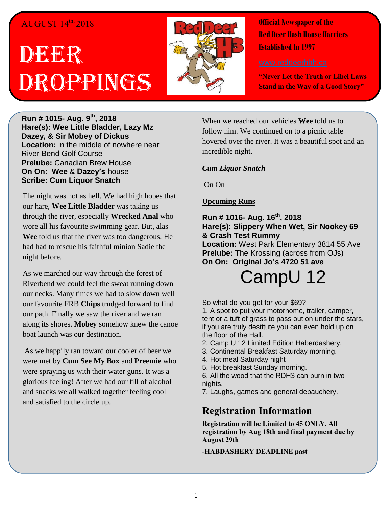## AUGUST 14<sup>th,</sup> 2018

# DBGER Droppings



**Official Newspaper of the Red Deer Hash House Harriers Established In 1997** 

**"Never Let the Truth or Libel Laws Stand in the Way of a Good Story"**

**Run # 1015- Aug. 9th, 2018 Hare(s): Wee Little Bladder, Lazy Mz Dazey, & Sir Mobey of Dickus Location:** in the middle of nowhere near River Bend Golf Course **Prelube:** Canadian Brew House **On On: Wee** & **Dazey's** house **Scribe: Cum Liquor Snatch**

The night was hot as hell. We had high hopes that our hare, **Wee Little Bladder** was taking us through the river, especially **Wrecked Anal** who wore all his favourite swimming gear. But, alas **Wee** told us that the river was too dangerous. He had had to rescue his faithful minion Sadie the night before.

As we marched our way through the forest of Riverbend we could feel the sweat running down our necks. Many times we had to slow down well our favourite FRB **Chips** trudged forward to find our path. Finally we saw the river and we ran along its shores. **Mobey** somehow knew the canoe boat launch was our destination.

As we happily ran toward our cooler of beer we were met by **Cum See My Box** and **Preemie** who were spraying us with their water guns. It was a glorious feeling! After we had our fill of alcohol and snacks we all walked together feeling cool and satisfied to the circle up.

When we reached our vehicles **Wee** told us to follow him. We continued on to a picnic table hovered over the river. It was a beautiful spot and an incredible night.

#### *Cum Liquor Snatch*

On On

#### **Upcuming Runs**

#### **Run # 1016- Aug. 16th, 2018 Hare(s): Slippery When Wet, Sir Nookey 69 & Crash Test Rummy Location:** West Park Elementary 3814 55 Ave

**Prelube:** The Krossing (across from OJs) **On On: Original Jo's 4720 51 ave**

# CampU 12

So what do you get for your \$69?

1. A spot to put your motorhome, trailer, camper, tent or a tuft of grass to pass out on under the stars, if you are truly destitute you can even hold up on the floor of the Hall.

- 2. Camp U 12 Limited Edition Haberdashery.
- 3. Continental Breakfast Saturday morning.
- 4. Hot meal Saturday night
- 5. Hot breakfast Sunday morning.

6. All the wood that the RDH3 can burn in two nights.

7. Laughs, games and general debauchery.

### **Registration Information**

**Registration will be Limited to 45 ONLY. All registration by Aug 18th and final payment due by August 29th** 

#### **-HABDASHERY DEADLINE past**